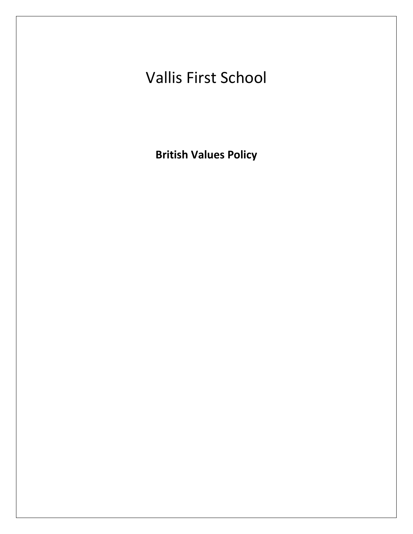## Vallis First School

**British Values Policy**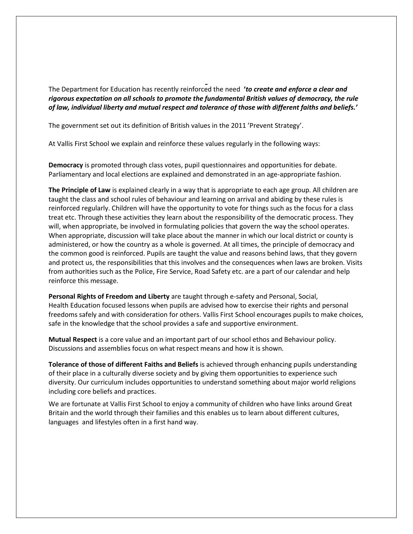The Department for Education has recently reinforced the need **'***to create and enforce a clear and rigorous expectation on all schools to promote the fundamental British values of democracy, the rule of law, individual liberty and mutual respect and tolerance of those with different faiths and beliefs.'*

The government set out its definition of British values in the 2011 'Prevent Strategy'.

At Vallis First School we explain and reinforce these values regularly in the following ways:

**Democracy** is promoted through class votes, pupil questionnaires and opportunities for debate. Parliamentary and local elections are explained and demonstrated in an age-appropriate fashion.

**The Principle of Law** is explained clearly in a way that is appropriate to each age group. All children are taught the class and school rules of behaviour and learning on arrival and abiding by these rules is reinforced regularly. Children will have the opportunity to vote for things such as the focus for a class treat etc. Through these activities they learn about the responsibility of the democratic process. They will, when appropriate, be involved in formulating policies that govern the way the school operates. When appropriate, discussion will take place about the manner in which our local district or county is administered, or how the country as a whole is governed. At all times, the principle of democracy and the common good is reinforced. Pupils are taught the value and reasons behind laws, that they govern and protect us, the responsibilities that this involves and the consequences when laws are broken. Visits from authorities such as the Police, Fire Service, Road Safety etc. are a part of our calendar and help reinforce this message.

**Personal Rights of Freedom and Liberty** are taught through e-safety and Personal, Social, Health Education focused lessons when pupils are advised how to exercise their rights and personal freedoms safely and with consideration for others. Vallis First School encourages pupils to make choices, safe in the knowledge that the school provides a safe and supportive environment.

**Mutual Respect** is a core value and an important part of our school ethos and Behaviour policy. Discussions and assemblies focus on what respect means and how it is shown*.*

**Tolerance of those of different Faiths and Beliefs** is achieved through enhancing pupils understanding of their place in a culturally diverse society and by giving them opportunities to experience such diversity. Our curriculum includes opportunities to understand something about major world religions including core beliefs and practices.

We are fortunate at Vallis First School to enjoy a community of children who have links around Great Britain and the world through their families and this enables us to learn about different cultures, languages and lifestyles often in a first hand way.